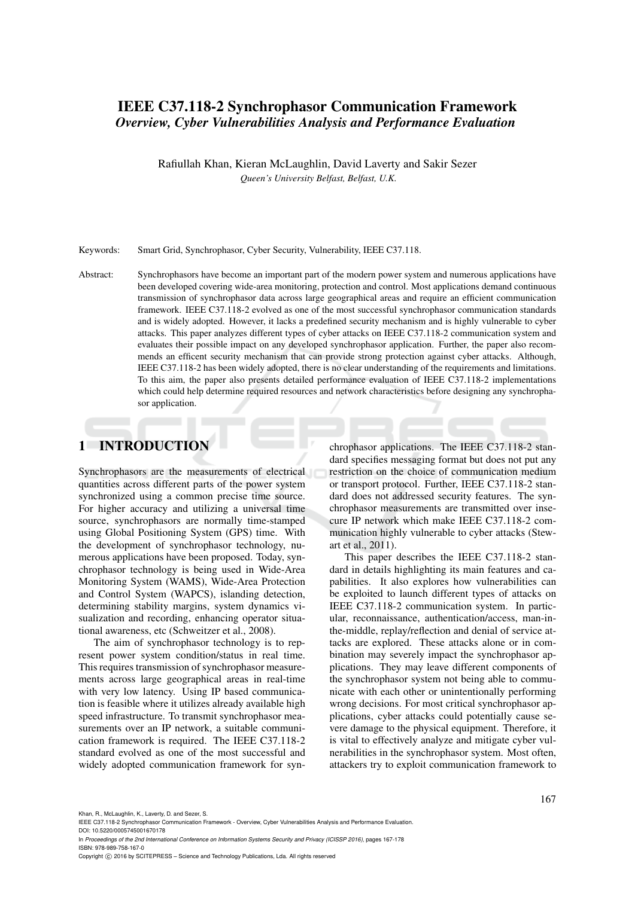# IEEE C37.118-2 Synchrophasor Communication Framework *Overview, Cyber Vulnerabilities Analysis and Performance Evaluation*

Rafiullah Khan, Kieran McLaughlin, David Laverty and Sakir Sezer *Queen's University Belfast, Belfast, U.K.*

Keywords: Smart Grid, Synchrophasor, Cyber Security, Vulnerability, IEEE C37.118.

Abstract: Synchrophasors have become an important part of the modern power system and numerous applications have been developed covering wide-area monitoring, protection and control. Most applications demand continuous transmission of synchrophasor data across large geographical areas and require an efficient communication framework. IEEE C37.118-2 evolved as one of the most successful synchrophasor communication standards and is widely adopted. However, it lacks a predefined security mechanism and is highly vulnerable to cyber attacks. This paper analyzes different types of cyber attacks on IEEE C37.118-2 communication system and evaluates their possible impact on any developed synchrophasor application. Further, the paper also recommends an efficent security mechanism that can provide strong protection against cyber attacks. Although, IEEE C37.118-2 has been widely adopted, there is no clear understanding of the requirements and limitations. To this aim, the paper also presents detailed performance evaluation of IEEE C37.118-2 implementations which could help determine required resources and network characteristics before designing any synchrophasor application.

# 1 INTRODUCTION

Synchrophasors are the measurements of electrical quantities across different parts of the power system synchronized using a common precise time source. For higher accuracy and utilizing a universal time source, synchrophasors are normally time-stamped using Global Positioning System (GPS) time. With the development of synchrophasor technology, numerous applications have been proposed. Today, synchrophasor technology is being used in Wide-Area Monitoring System (WAMS), Wide-Area Protection and Control System (WAPCS), islanding detection, determining stability margins, system dynamics visualization and recording, enhancing operator situational awareness, etc (Schweitzer et al., 2008).

The aim of synchrophasor technology is to represent power system condition/status in real time. This requires transmission of synchrophasor measurements across large geographical areas in real-time with very low latency. Using IP based communication is feasible where it utilizes already available high speed infrastructure. To transmit synchrophasor measurements over an IP network, a suitable communication framework is required. The IEEE C37.118-2 standard evolved as one of the most successful and widely adopted communication framework for synchrophasor applications. The IEEE C37.118-2 standard specifies messaging format but does not put any restriction on the choice of communication medium or transport protocol. Further, IEEE C37.118-2 standard does not addressed security features. The synchrophasor measurements are transmitted over insecure IP network which make IEEE C37.118-2 communication highly vulnerable to cyber attacks (Stewart et al., 2011).

This paper describes the IEEE C37.118-2 standard in details highlighting its main features and capabilities. It also explores how vulnerabilities can be exploited to launch different types of attacks on IEEE C37.118-2 communication system. In particular, reconnaissance, authentication/access, man-inthe-middle, replay/reflection and denial of service attacks are explored. These attacks alone or in combination may severely impact the synchrophasor applications. They may leave different components of the synchrophasor system not being able to communicate with each other or unintentionally performing wrong decisions. For most critical synchrophasor applications, cyber attacks could potentially cause severe damage to the physical equipment. Therefore, it is vital to effectively analyze and mitigate cyber vulnerabilities in the synchrophasor system. Most often, attackers try to exploit communication framework to

Khan, R., McLaughlin, K., Laverty, D. and Sezer, S.

IEEE C37.118-2 Synchrophasor Communication Framework - Overview, Cyber Vulnerabilities Analysis and Performance Evaluation. DOI: 10.5220/0005745001670178

In *Proceedings of the 2nd International Conference on Information Systems Security and Privacy (ICISSP 2016)*, pages 167-178 ISBN: 978-989-758-167-0

Copyright © 2016 by SCITEPRESS - Science and Technology Publications, Lda. All rights reserved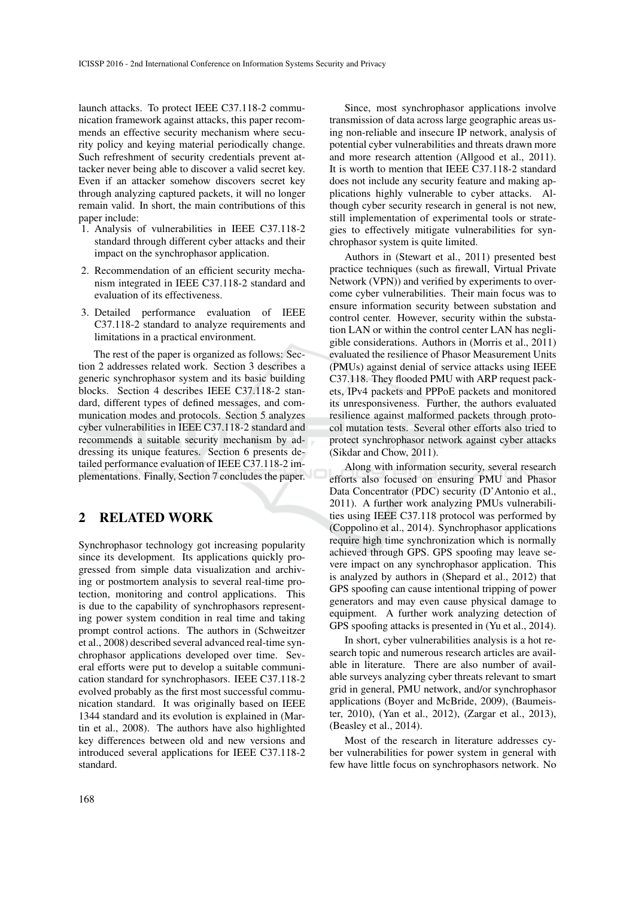launch attacks. To protect IEEE C37.118-2 communication framework against attacks, this paper recommends an effective security mechanism where security policy and keying material periodically change. Such refreshment of security credentials prevent attacker never being able to discover a valid secret key. Even if an attacker somehow discovers secret key through analyzing captured packets, it will no longer remain valid. In short, the main contributions of this paper include:

- 1. Analysis of vulnerabilities in IEEE C37.118-2 standard through different cyber attacks and their impact on the synchrophasor application.
- 2. Recommendation of an efficient security mechanism integrated in IEEE C37.118-2 standard and evaluation of its effectiveness.
- 3. Detailed performance evaluation of IEEE C37.118-2 standard to analyze requirements and limitations in a practical environment.

The rest of the paper is organized as follows: Section 2 addresses related work. Section 3 describes a generic synchrophasor system and its basic building blocks. Section 4 describes IEEE C37.118-2 standard, different types of defined messages, and communication modes and protocols. Section 5 analyzes cyber vulnerabilities in IEEE C37.118-2 standard and recommends a suitable security mechanism by addressing its unique features. Section 6 presents detailed performance evaluation of IEEE C37.118-2 implementations. Finally, Section 7 concludes the paper.

## 2 RELATED WORK

Synchrophasor technology got increasing popularity since its development. Its applications quickly progressed from simple data visualization and archiving or postmortem analysis to several real-time protection, monitoring and control applications. This is due to the capability of synchrophasors representing power system condition in real time and taking prompt control actions. The authors in (Schweitzer et al., 2008) described several advanced real-time synchrophasor applications developed over time. Several efforts were put to develop a suitable communication standard for synchrophasors. IEEE C37.118-2 evolved probably as the first most successful communication standard. It was originally based on IEEE 1344 standard and its evolution is explained in (Martin et al., 2008). The authors have also highlighted key differences between old and new versions and introduced several applications for IEEE C37.118-2 standard.

Since, most synchrophasor applications involve transmission of data across large geographic areas using non-reliable and insecure IP network, analysis of potential cyber vulnerabilities and threats drawn more and more research attention (Allgood et al., 2011). It is worth to mention that IEEE C37.118-2 standard does not include any security feature and making applications highly vulnerable to cyber attacks. Although cyber security research in general is not new, still implementation of experimental tools or strategies to effectively mitigate vulnerabilities for synchrophasor system is quite limited.

Authors in (Stewart et al., 2011) presented best practice techniques (such as firewall, Virtual Private Network (VPN)) and verified by experiments to overcome cyber vulnerabilities. Their main focus was to ensure information security between substation and control center. However, security within the substation LAN or within the control center LAN has negligible considerations. Authors in (Morris et al., 2011) evaluated the resilience of Phasor Measurement Units (PMUs) against denial of service attacks using IEEE C37.118. They flooded PMU with ARP request packets, IPv4 packets and PPPoE packets and monitored its unresponsiveness. Further, the authors evaluated resilience against malformed packets through protocol mutation tests. Several other efforts also tried to protect synchrophasor network against cyber attacks (Sikdar and Chow, 2011).

Along with information security, several research efforts also focused on ensuring PMU and Phasor Data Concentrator (PDC) security (D'Antonio et al., 2011). A further work analyzing PMUs vulnerabilities using IEEE C37.118 protocol was performed by (Coppolino et al., 2014). Synchrophasor applications require high time synchronization which is normally achieved through GPS. GPS spoofing may leave severe impact on any synchrophasor application. This is analyzed by authors in (Shepard et al., 2012) that GPS spoofing can cause intentional tripping of power generators and may even cause physical damage to equipment. A further work analyzing detection of GPS spoofing attacks is presented in (Yu et al., 2014).

In short, cyber vulnerabilities analysis is a hot research topic and numerous research articles are available in literature. There are also number of available surveys analyzing cyber threats relevant to smart grid in general, PMU network, and/or synchrophasor applications (Boyer and McBride, 2009), (Baumeister, 2010), (Yan et al., 2012), (Zargar et al., 2013), (Beasley et al., 2014).

Most of the research in literature addresses cyber vulnerabilities for power system in general with few have little focus on synchrophasors network. No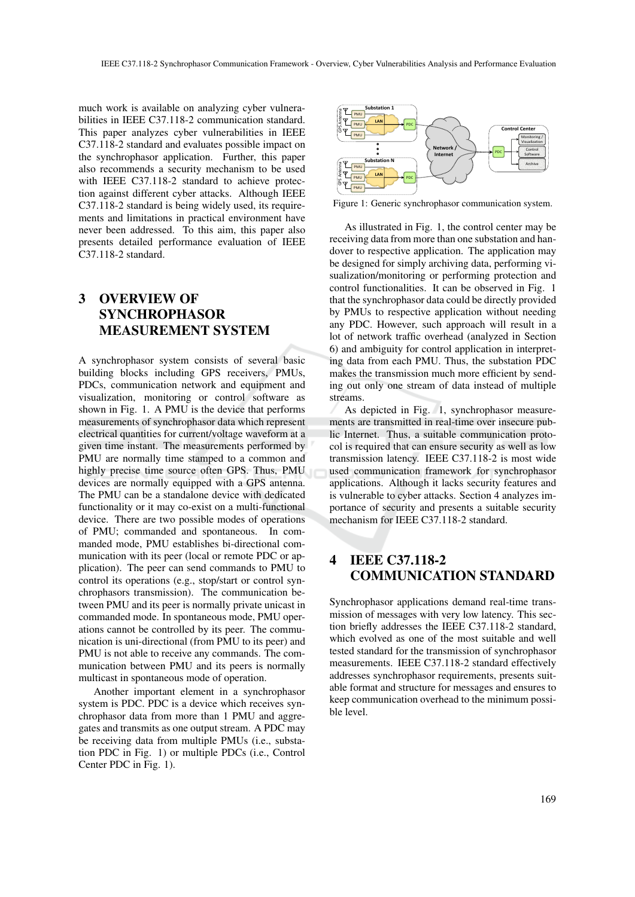much work is available on analyzing cyber vulnerabilities in IEEE C37.118-2 communication standard. This paper analyzes cyber vulnerabilities in IEEE C37.118-2 standard and evaluates possible impact on the synchrophasor application. Further, this paper also recommends a security mechanism to be used with IEEE C37.118-2 standard to achieve protection against different cyber attacks. Although IEEE C37.118-2 standard is being widely used, its requirements and limitations in practical environment have never been addressed. To this aim, this paper also presents detailed performance evaluation of IEEE C37.118-2 standard.

# 3 OVERVIEW OF SYNCHROPHASOR MEASUREMENT SYSTEM

A synchrophasor system consists of several basic building blocks including GPS receivers, PMUs, PDCs, communication network and equipment and visualization, monitoring or control software as shown in Fig. 1. A PMU is the device that performs measurements of synchrophasor data which represent electrical quantities for current/voltage waveform at a given time instant. The measurements performed by PMU are normally time stamped to a common and highly precise time source often GPS. Thus, PMU devices are normally equipped with a GPS antenna. The PMU can be a standalone device with dedicated functionality or it may co-exist on a multi-functional device. There are two possible modes of operations of PMU; commanded and spontaneous. In commanded mode, PMU establishes bi-directional communication with its peer (local or remote PDC or application). The peer can send commands to PMU to control its operations (e.g., stop/start or control synchrophasors transmission). The communication between PMU and its peer is normally private unicast in commanded mode. In spontaneous mode, PMU operations cannot be controlled by its peer. The communication is uni-directional (from PMU to its peer) and PMU is not able to receive any commands. The communication between PMU and its peers is normally multicast in spontaneous mode of operation.

Another important element in a synchrophasor system is PDC. PDC is a device which receives synchrophasor data from more than 1 PMU and aggregates and transmits as one output stream. A PDC may be receiving data from multiple PMUs (i.e., substation PDC in Fig. 1) or multiple PDCs (i.e., Control Center PDC in Fig. 1).



Figure 1: Generic synchrophasor communication system.

As illustrated in Fig. 1, the control center may be receiving data from more than one substation and handover to respective application. The application may be designed for simply archiving data, performing visualization/monitoring or performing protection and control functionalities. It can be observed in Fig. 1 that the synchrophasor data could be directly provided by PMUs to respective application without needing any PDC. However, such approach will result in a lot of network traffic overhead (analyzed in Section 6) and ambiguity for control application in interpreting data from each PMU. Thus, the substation PDC makes the transmission much more efficient by sending out only one stream of data instead of multiple streams.

As depicted in Fig. 1, synchrophasor measurements are transmitted in real-time over insecure public Internet. Thus, a suitable communication protocol is required that can ensure security as well as low transmission latency. IEEE C37.118-2 is most wide used communication framework for synchrophasor applications. Although it lacks security features and is vulnerable to cyber attacks. Section 4 analyzes importance of security and presents a suitable security mechanism for IEEE C37.118-2 standard.

# 4 IEEE C37.118-2 COMMUNICATION STANDARD

Synchrophasor applications demand real-time transmission of messages with very low latency. This section briefly addresses the IEEE C37.118-2 standard, which evolved as one of the most suitable and well tested standard for the transmission of synchrophasor measurements. IEEE C37.118-2 standard effectively addresses synchrophasor requirements, presents suitable format and structure for messages and ensures to keep communication overhead to the minimum possible level.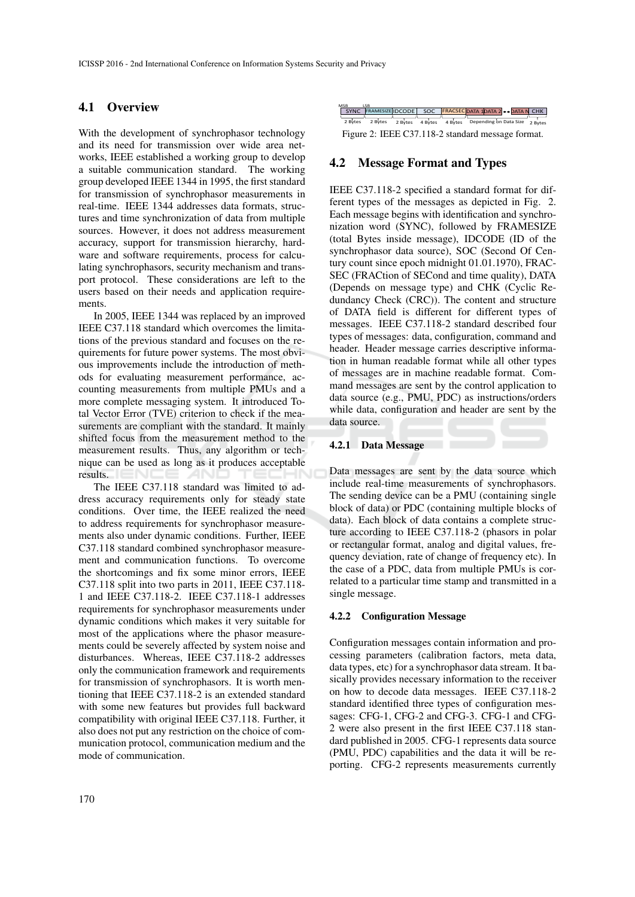### 4.1 Overview

With the development of synchrophasor technology and its need for transmission over wide area networks, IEEE established a working group to develop a suitable communication standard. The working group developed IEEE 1344 in 1995, the first standard for transmission of synchrophasor measurements in real-time. IEEE 1344 addresses data formats, structures and time synchronization of data from multiple sources. However, it does not address measurement accuracy, support for transmission hierarchy, hardware and software requirements, process for calculating synchrophasors, security mechanism and transport protocol. These considerations are left to the users based on their needs and application requirements.

In 2005, IEEE 1344 was replaced by an improved IEEE C37.118 standard which overcomes the limitations of the previous standard and focuses on the requirements for future power systems. The most obvious improvements include the introduction of methods for evaluating measurement performance, accounting measurements from multiple PMUs and a more complete messaging system. It introduced Total Vector Error (TVE) criterion to check if the measurements are compliant with the standard. It mainly shifted focus from the measurement method to the measurement results. Thus, any algorithm or technique can be used as long as it produces acceptable results. **AND** -10

The IEEE C37.118 standard was limited to address accuracy requirements only for steady state conditions. Over time, the IEEE realized the need to address requirements for synchrophasor measurements also under dynamic conditions. Further, IEEE C37.118 standard combined synchrophasor measurement and communication functions. To overcome the shortcomings and fix some minor errors, IEEE C37.118 split into two parts in 2011, IEEE C37.118- 1 and IEEE C37.118-2. IEEE C37.118-1 addresses requirements for synchrophasor measurements under dynamic conditions which makes it very suitable for most of the applications where the phasor measurements could be severely affected by system noise and disturbances. Whereas, IEEE C37.118-2 addresses only the communication framework and requirements for transmission of synchrophasors. It is worth mentioning that IEEE C37.118-2 is an extended standard with some new features but provides full backward compatibility with original IEEE C37.118. Further, it also does not put any restriction on the choice of communication protocol, communication medium and the mode of communication.

| <b>MSB</b>                                        |  |  |  |  |                                                                |  |  |  |
|---------------------------------------------------|--|--|--|--|----------------------------------------------------------------|--|--|--|
| SYNC                                              |  |  |  |  | FRAMESIZE IDCODE SOC FRACSEC DATA 1DATA 2 .DATA N CHK          |  |  |  |
|                                                   |  |  |  |  |                                                                |  |  |  |
| 2 Bytes                                           |  |  |  |  | 2 Bytes 2 Bytes 4 Bytes 4 Bytes Depending on Data Size 2 Bytes |  |  |  |
| Figure 2: IEEE C37.118-2 standard message format. |  |  |  |  |                                                                |  |  |  |

## 4.2 Message Format and Types

IEEE C37.118-2 specified a standard format for different types of the messages as depicted in Fig. 2. Each message begins with identification and synchronization word (SYNC), followed by FRAMESIZE (total Bytes inside message), IDCODE (ID of the synchrophasor data source), SOC (Second Of Century count since epoch midnight 01.01.1970), FRAC-SEC (FRACtion of SECond and time quality), DATA (Depends on message type) and CHK (Cyclic Redundancy Check (CRC)). The content and structure of DATA field is different for different types of messages. IEEE C37.118-2 standard described four types of messages: data, configuration, command and header. Header message carries descriptive information in human readable format while all other types of messages are in machine readable format. Command messages are sent by the control application to data source (e.g., PMU, PDC) as instructions/orders while data, configuration and header are sent by the data source.

#### 4.2.1 Data Message

Data messages are sent by the data source which include real-time measurements of synchrophasors. The sending device can be a PMU (containing single block of data) or PDC (containing multiple blocks of data). Each block of data contains a complete structure according to IEEE C37.118-2 (phasors in polar or rectangular format, analog and digital values, frequency deviation, rate of change of frequency etc). In the case of a PDC, data from multiple PMUs is correlated to a particular time stamp and transmitted in a single message.

#### 4.2.2 Configuration Message

Configuration messages contain information and processing parameters (calibration factors, meta data, data types, etc) for a synchrophasor data stream. It basically provides necessary information to the receiver on how to decode data messages. IEEE C37.118-2 standard identified three types of configuration messages: CFG-1, CFG-2 and CFG-3. CFG-1 and CFG-2 were also present in the first IEEE C37.118 standard published in 2005. CFG-1 represents data source (PMU, PDC) capabilities and the data it will be reporting. CFG-2 represents measurements currently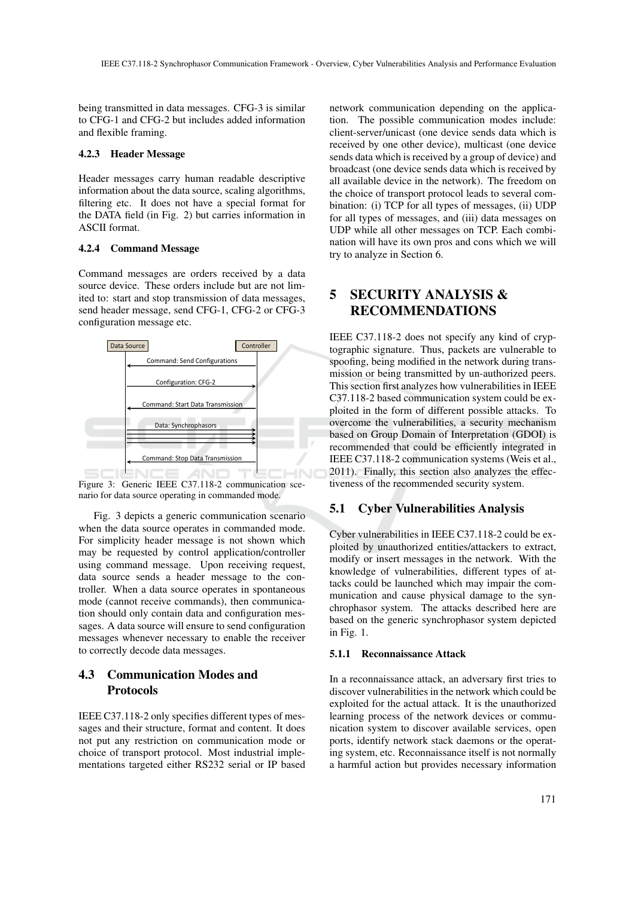being transmitted in data messages. CFG-3 is similar to CFG-1 and CFG-2 but includes added information and flexible framing.

#### 4.2.3 Header Message

Header messages carry human readable descriptive information about the data source, scaling algorithms, filtering etc. It does not have a special format for the DATA field (in Fig. 2) but carries information in ASCII format.

#### 4.2.4 Command Message

Command messages are orders received by a data source device. These orders include but are not limited to: start and stop transmission of data messages, send header message, send CFG-1, CFG-2 or CFG-3 configuration message etc.



Figure 3: Generic IEEE C37.118-2 communication scenario for data source operating in commanded mode.

Fig. 3 depicts a generic communication scenario when the data source operates in commanded mode. For simplicity header message is not shown which may be requested by control application/controller using command message. Upon receiving request, data source sends a header message to the controller. When a data source operates in spontaneous mode (cannot receive commands), then communication should only contain data and configuration messages. A data source will ensure to send configuration messages whenever necessary to enable the receiver to correctly decode data messages.

## 4.3 Communication Modes and Protocols

IEEE C37.118-2 only specifies different types of messages and their structure, format and content. It does not put any restriction on communication mode or choice of transport protocol. Most industrial implementations targeted either RS232 serial or IP based

network communication depending on the application. The possible communication modes include: client-server/unicast (one device sends data which is received by one other device), multicast (one device sends data which is received by a group of device) and broadcast (one device sends data which is received by all available device in the network). The freedom on the choice of transport protocol leads to several combination: (i) TCP for all types of messages, (ii) UDP for all types of messages, and (iii) data messages on UDP while all other messages on TCP. Each combination will have its own pros and cons which we will try to analyze in Section 6.

# 5 SECURITY ANALYSIS & RECOMMENDATIONS

IEEE C37.118-2 does not specify any kind of cryptographic signature. Thus, packets are vulnerable to spoofing, being modified in the network during transmission or being transmitted by un-authorized peers. This section first analyzes how vulnerabilities in IEEE C37.118-2 based communication system could be exploited in the form of different possible attacks. To overcome the vulnerabilities, a security mechanism based on Group Domain of Interpretation (GDOI) is recommended that could be efficiently integrated in IEEE C37.118-2 communication systems (Weis et al., 2011). Finally, this section also analyzes the effectiveness of the recommended security system.

## 5.1 Cyber Vulnerabilities Analysis

Cyber vulnerabilities in IEEE C37.118-2 could be exploited by unauthorized entities/attackers to extract, modify or insert messages in the network. With the knowledge of vulnerabilities, different types of attacks could be launched which may impair the communication and cause physical damage to the synchrophasor system. The attacks described here are based on the generic synchrophasor system depicted in Fig. 1.

#### 5.1.1 Reconnaissance Attack

In a reconnaissance attack, an adversary first tries to discover vulnerabilities in the network which could be exploited for the actual attack. It is the unauthorized learning process of the network devices or communication system to discover available services, open ports, identify network stack daemons or the operating system, etc. Reconnaissance itself is not normally a harmful action but provides necessary information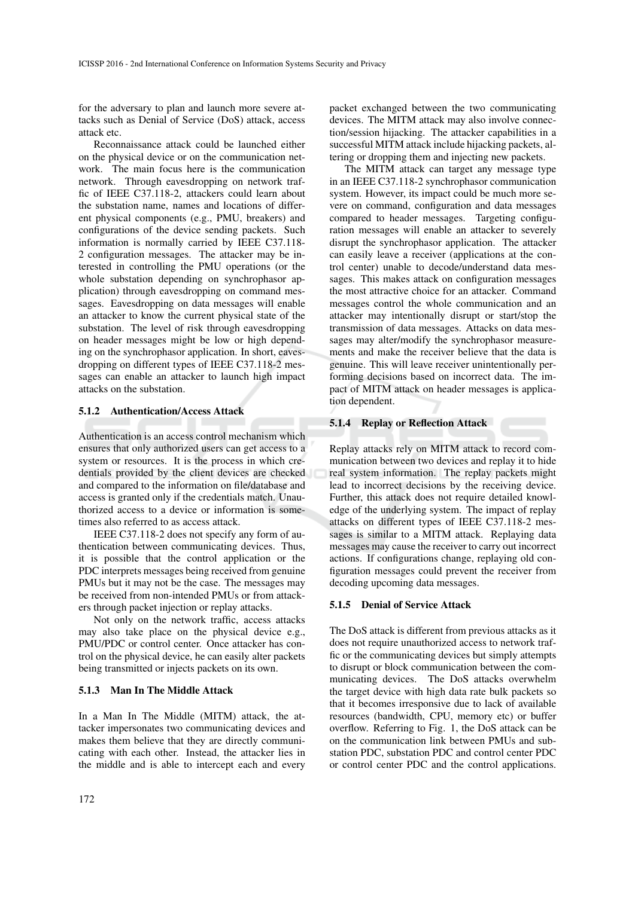for the adversary to plan and launch more severe attacks such as Denial of Service (DoS) attack, access attack etc.

Reconnaissance attack could be launched either on the physical device or on the communication network. The main focus here is the communication network. Through eavesdropping on network traffic of IEEE C37.118-2, attackers could learn about the substation name, names and locations of different physical components (e.g., PMU, breakers) and configurations of the device sending packets. Such information is normally carried by IEEE C37.118- 2 configuration messages. The attacker may be interested in controlling the PMU operations (or the whole substation depending on synchrophasor application) through eavesdropping on command messages. Eavesdropping on data messages will enable an attacker to know the current physical state of the substation. The level of risk through eavesdropping on header messages might be low or high depending on the synchrophasor application. In short, eavesdropping on different types of IEEE C37.118-2 messages can enable an attacker to launch high impact attacks on the substation.

#### 5.1.2 Authentication/Access Attack

Authentication is an access control mechanism which ensures that only authorized users can get access to a system or resources. It is the process in which credentials provided by the client devices are checked and compared to the information on file/database and access is granted only if the credentials match. Unauthorized access to a device or information is sometimes also referred to as access attack.

IEEE C37.118-2 does not specify any form of authentication between communicating devices. Thus, it is possible that the control application or the PDC interprets messages being received from genuine PMUs but it may not be the case. The messages may be received from non-intended PMUs or from attackers through packet injection or replay attacks.

Not only on the network traffic, access attacks may also take place on the physical device e.g., PMU/PDC or control center. Once attacker has control on the physical device, he can easily alter packets being transmitted or injects packets on its own.

#### 5.1.3 Man In The Middle Attack

In a Man In The Middle (MITM) attack, the attacker impersonates two communicating devices and makes them believe that they are directly communicating with each other. Instead, the attacker lies in the middle and is able to intercept each and every

packet exchanged between the two communicating devices. The MITM attack may also involve connection/session hijacking. The attacker capabilities in a successful MITM attack include hijacking packets, altering or dropping them and injecting new packets.

The MITM attack can target any message type in an IEEE C37.118-2 synchrophasor communication system. However, its impact could be much more severe on command, configuration and data messages compared to header messages. Targeting configuration messages will enable an attacker to severely disrupt the synchrophasor application. The attacker can easily leave a receiver (applications at the control center) unable to decode/understand data messages. This makes attack on configuration messages the most attractive choice for an attacker. Command messages control the whole communication and an attacker may intentionally disrupt or start/stop the transmission of data messages. Attacks on data messages may alter/modify the synchrophasor measurements and make the receiver believe that the data is genuine. This will leave receiver unintentionally performing decisions based on incorrect data. The impact of MITM attack on header messages is application dependent.

#### 5.1.4 Replay or Reflection Attack

Replay attacks rely on MITM attack to record communication between two devices and replay it to hide real system information. The replay packets might lead to incorrect decisions by the receiving device. Further, this attack does not require detailed knowledge of the underlying system. The impact of replay attacks on different types of IEEE C37.118-2 messages is similar to a MITM attack. Replaying data messages may cause the receiver to carry out incorrect actions. If configurations change, replaying old configuration messages could prevent the receiver from decoding upcoming data messages.

#### 5.1.5 Denial of Service Attack

The DoS attack is different from previous attacks as it does not require unauthorized access to network traffic or the communicating devices but simply attempts to disrupt or block communication between the communicating devices. The DoS attacks overwhelm the target device with high data rate bulk packets so that it becomes irresponsive due to lack of available resources (bandwidth, CPU, memory etc) or buffer overflow. Referring to Fig. 1, the DoS attack can be on the communication link between PMUs and substation PDC, substation PDC and control center PDC or control center PDC and the control applications.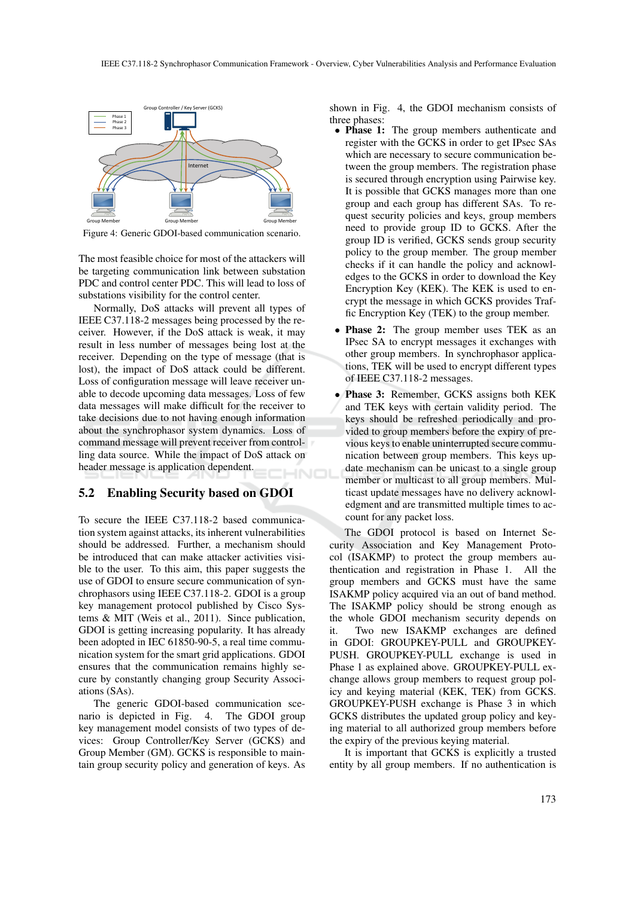

Figure 4: Generic GDOI-based communication scenario.

The most feasible choice for most of the attackers will be targeting communication link between substation PDC and control center PDC. This will lead to loss of substations visibility for the control center.

Normally, DoS attacks will prevent all types of IEEE C37.118-2 messages being processed by the receiver. However, if the DoS attack is weak, it may result in less number of messages being lost at the receiver. Depending on the type of message (that is lost), the impact of DoS attack could be different. Loss of configuration message will leave receiver unable to decode upcoming data messages. Loss of few data messages will make difficult for the receiver to take decisions due to not having enough information about the synchrophasor system dynamics. Loss of command message will prevent receiver from controlling data source. While the impact of DoS attack on header message is application dependent.

### 5.2 Enabling Security based on GDOI

To secure the IEEE C37.118-2 based communication system against attacks, its inherent vulnerabilities should be addressed. Further, a mechanism should be introduced that can make attacker activities visible to the user. To this aim, this paper suggests the use of GDOI to ensure secure communication of synchrophasors using IEEE C37.118-2. GDOI is a group key management protocol published by Cisco Systems & MIT (Weis et al., 2011). Since publication, GDOI is getting increasing popularity. It has already been adopted in IEC 61850-90-5, a real time communication system for the smart grid applications. GDOI ensures that the communication remains highly secure by constantly changing group Security Associations (SAs).

The generic GDOI-based communication scenario is depicted in Fig. 4. The GDOI group key management model consists of two types of devices: Group Controller/Key Server (GCKS) and Group Member (GM). GCKS is responsible to maintain group security policy and generation of keys. As shown in Fig. 4, the GDOI mechanism consists of three phases:

- **Phase 1:** The group members authenticate and register with the GCKS in order to get IPsec SAs which are necessary to secure communication between the group members. The registration phase is secured through encryption using Pairwise key. It is possible that GCKS manages more than one group and each group has different SAs. To request security policies and keys, group members need to provide group ID to GCKS. After the group ID is verified, GCKS sends group security policy to the group member. The group member checks if it can handle the policy and acknowledges to the GCKS in order to download the Key Encryption Key (KEK). The KEK is used to encrypt the message in which GCKS provides Traffic Encryption Key (TEK) to the group member.
- Phase 2: The group member uses TEK as an IPsec SA to encrypt messages it exchanges with other group members. In synchrophasor applications, TEK will be used to encrypt different types of IEEE C37.118-2 messages.
- Phase 3: Remember, GCKS assigns both KEK and TEK keys with certain validity period. The keys should be refreshed periodically and provided to group members before the expiry of previous keys to enable uninterrupted secure communication between group members. This keys update mechanism can be unicast to a single group member or multicast to all group members. Multicast update messages have no delivery acknowledgment and are transmitted multiple times to account for any packet loss.

The GDOI protocol is based on Internet Security Association and Key Management Protocol (ISAKMP) to protect the group members authentication and registration in Phase 1. All the group members and GCKS must have the same ISAKMP policy acquired via an out of band method. The ISAKMP policy should be strong enough as the whole GDOI mechanism security depends on it. Two new ISAKMP exchanges are defined in GDOI: GROUPKEY-PULL and GROUPKEY-PUSH. GROUPKEY-PULL exchange is used in Phase 1 as explained above. GROUPKEY-PULL exchange allows group members to request group policy and keying material (KEK, TEK) from GCKS. GROUPKEY-PUSH exchange is Phase 3 in which GCKS distributes the updated group policy and keying material to all authorized group members before the expiry of the previous keying material.

It is important that GCKS is explicitly a trusted entity by all group members. If no authentication is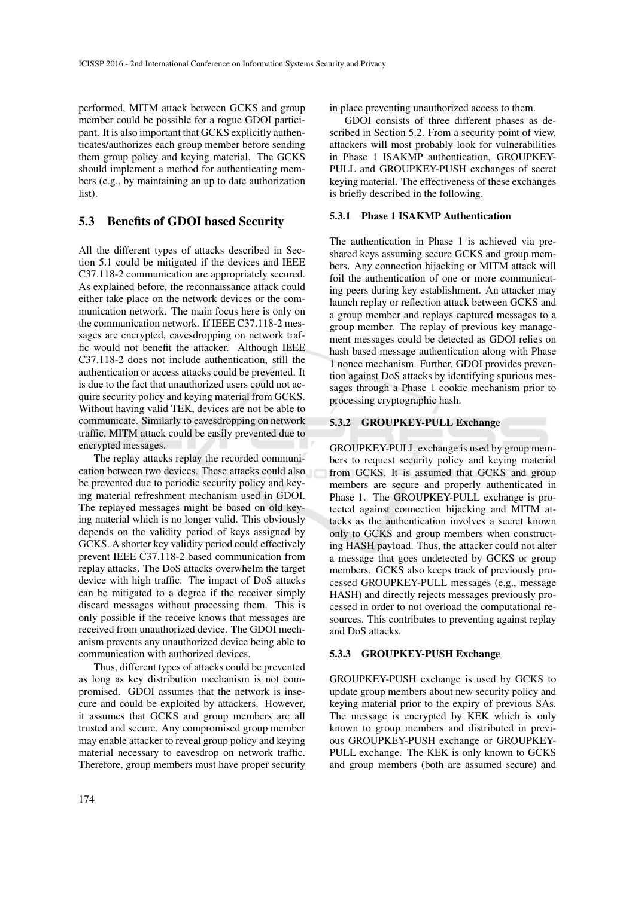performed, MITM attack between GCKS and group member could be possible for a rogue GDOI participant. It is also important that GCKS explicitly authenticates/authorizes each group member before sending them group policy and keying material. The GCKS should implement a method for authenticating members (e.g., by maintaining an up to date authorization list).

## 5.3 Benefits of GDOI based Security

All the different types of attacks described in Section 5.1 could be mitigated if the devices and IEEE C37.118-2 communication are appropriately secured. As explained before, the reconnaissance attack could either take place on the network devices or the communication network. The main focus here is only on the communication network. If IEEE C37.118-2 messages are encrypted, eavesdropping on network traffic would not benefit the attacker. Although IEEE C37.118-2 does not include authentication, still the authentication or access attacks could be prevented. It is due to the fact that unauthorized users could not acquire security policy and keying material from GCKS. Without having valid TEK, devices are not be able to communicate. Similarly to eavesdropping on network traffic, MITM attack could be easily prevented due to encrypted messages.

The replay attacks replay the recorded communication between two devices. These attacks could also be prevented due to periodic security policy and keying material refreshment mechanism used in GDOI. The replayed messages might be based on old keying material which is no longer valid. This obviously depends on the validity period of keys assigned by GCKS. A shorter key validity period could effectively prevent IEEE C37.118-2 based communication from replay attacks. The DoS attacks overwhelm the target device with high traffic. The impact of DoS attacks can be mitigated to a degree if the receiver simply discard messages without processing them. This is only possible if the receive knows that messages are received from unauthorized device. The GDOI mechanism prevents any unauthorized device being able to communication with authorized devices.

Thus, different types of attacks could be prevented as long as key distribution mechanism is not compromised. GDOI assumes that the network is insecure and could be exploited by attackers. However, it assumes that GCKS and group members are all trusted and secure. Any compromised group member may enable attacker to reveal group policy and keying material necessary to eavesdrop on network traffic. Therefore, group members must have proper security

174

in place preventing unauthorized access to them.

GDOI consists of three different phases as described in Section 5.2. From a security point of view, attackers will most probably look for vulnerabilities in Phase 1 ISAKMP authentication, GROUPKEY-PULL and GROUPKEY-PUSH exchanges of secret keying material. The effectiveness of these exchanges is briefly described in the following.

## 5.3.1 Phase 1 ISAKMP Authentication

The authentication in Phase 1 is achieved via preshared keys assuming secure GCKS and group members. Any connection hijacking or MITM attack will foil the authentication of one or more communicating peers during key establishment. An attacker may launch replay or reflection attack between GCKS and a group member and replays captured messages to a group member. The replay of previous key management messages could be detected as GDOI relies on hash based message authentication along with Phase 1 nonce mechanism. Further, GDOI provides prevention against DoS attacks by identifying spurious messages through a Phase 1 cookie mechanism prior to processing cryptographic hash.

### 5.3.2 GROUPKEY-PULL Exchange

GROUPKEY-PULL exchange is used by group members to request security policy and keying material from GCKS. It is assumed that GCKS and group members are secure and properly authenticated in Phase 1. The GROUPKEY-PULL exchange is protected against connection hijacking and MITM attacks as the authentication involves a secret known only to GCKS and group members when constructing HASH payload. Thus, the attacker could not alter a message that goes undetected by GCKS or group members. GCKS also keeps track of previously processed GROUPKEY-PULL messages (e.g., message HASH) and directly rejects messages previously processed in order to not overload the computational resources. This contributes to preventing against replay and DoS attacks.

#### 5.3.3 GROUPKEY-PUSH Exchange

GROUPKEY-PUSH exchange is used by GCKS to update group members about new security policy and keying material prior to the expiry of previous SAs. The message is encrypted by KEK which is only known to group members and distributed in previous GROUPKEY-PUSH exchange or GROUPKEY-PULL exchange. The KEK is only known to GCKS and group members (both are assumed secure) and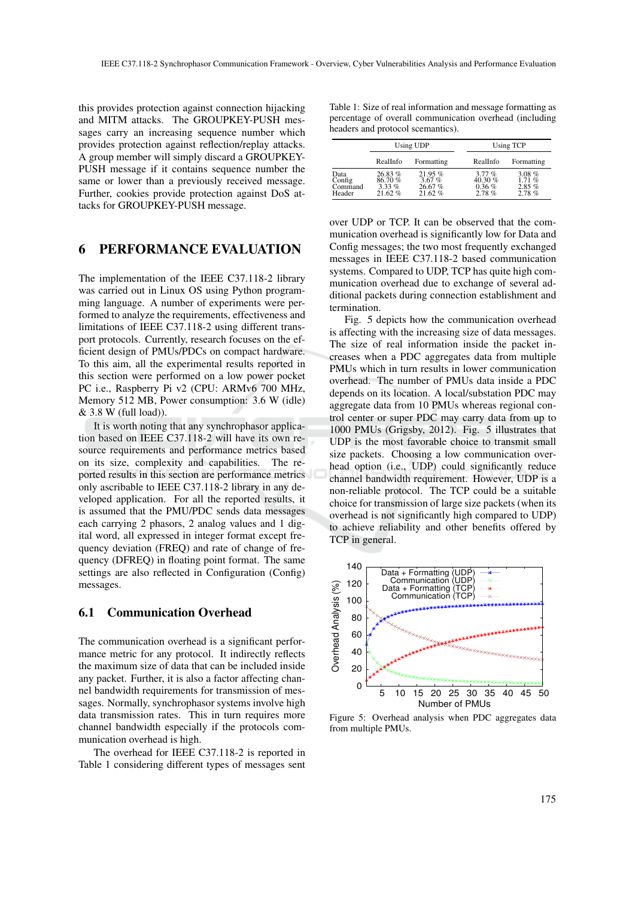this provides protection against connection hijacking and MITM attacks. The GROUPKEY-PUSH messages carry an increasing sequence number which provides protection against reflection/replay attacks. A group member will simply discard a GROUPKEY-PUSH message if it contains sequence number the same or lower than a previously received message. Further, cookies provide protection against DoS attacks for GROUPKEY-PUSH message.

## 6 PERFORMANCE EVALUATION

The implementation of the IEEE C37.118-2 library was carried out in Linux OS using Python programming language. A number of experiments were performed to analyze the requirements, effectiveness and limitations of IEEE C37.118-2 using different transport protocols. Currently, research focuses on the efficient design of PMUs/PDCs on compact hardware. To this aim, all the experimental results reported in this section were performed on a low power pocket PC i.e., Raspberry Pi v2 (CPU: ARMv6 700 MHz, Memory 512 MB, Power consumption: 3.6 W (idle) & 3.8 W (full load)).

It is worth noting that any synchrophasor application based on IEEE C37.118-2 will have its own resource requirements and performance metrics based on its size, complexity and capabilities. The reported results in this section are performance metrics only ascribable to IEEE C37.118-2 library in any developed application. For all the reported results, it is assumed that the PMU/PDC sends data messages each carrying 2 phasors, 2 analog values and 1 digital word, all expressed in integer format except frequency deviation (FREQ) and rate of change of frequency (DFREQ) in floating point format. The same settings are also reflected in Configuration (Config) messages.

## 6.1 Communication Overhead

The communication overhead is a significant performance metric for any protocol. It indirectly reflects the maximum size of data that can be included inside any packet. Further, it is also a factor affecting channel bandwidth requirements for transmission of messages. Normally, synchrophasor systems involve high data transmission rates. This in turn requires more channel bandwidth especially if the protocols communication overhead is high.

The overhead for IEEE C37.118-2 is reported in Table 1 considering different types of messages sent

Table 1: Size of real information and message formatting as percentage of overall communication overhead (including headers and protocol scemantics).

|                                     |                                        | Using UDP                           | <b>Using TCP</b>                        |                                        |  |
|-------------------------------------|----------------------------------------|-------------------------------------|-----------------------------------------|----------------------------------------|--|
|                                     | RealInfo                               | Formatting                          | RealInfo                                | Formatting                             |  |
| Data<br>Config<br>Command<br>Header | 26.83%<br>86.70%<br>$3.33\%$<br>21.62% | 21.95%<br>3.67%<br>26.67%<br>21.62% | 3.77%<br>40.30 $%$<br>$0.36\%$<br>2.78% | $3.08\%$<br>1.71%<br>$2.85\%$<br>2.78% |  |

over UDP or TCP. It can be observed that the communication overhead is significantly low for Data and Config messages; the two most frequently exchanged messages in IEEE C37.118-2 based communication systems. Compared to UDP, TCP has quite high communication overhead due to exchange of several additional packets during connection establishment and termination.

Fig. 5 depicts how the communication overhead is affecting with the increasing size of data messages. The size of real information inside the packet increases when a PDC aggregates data from multiple PMUs which in turn results in lower communication overhead. The number of PMUs data inside a PDC depends on its location. A local/substation PDC may aggregate data from 10 PMUs whereas regional control center or super PDC may carry data from up to 1000 PMUs (Grigsby, 2012). Fig. 5 illustrates that UDP is the most favorable choice to transmit small size packets. Choosing a low communication overhead option (i.e., UDP) could significantly reduce channel bandwidth requirement. However, UDP is a non-reliable protocol. The TCP could be a suitable choice for transmission of large size packets (when its overhead is not significantly high compared to UDP) to achieve reliability and other benefits offered by TCP in general.



Figure 5: Overhead analysis when PDC aggregates data from multiple PMUs.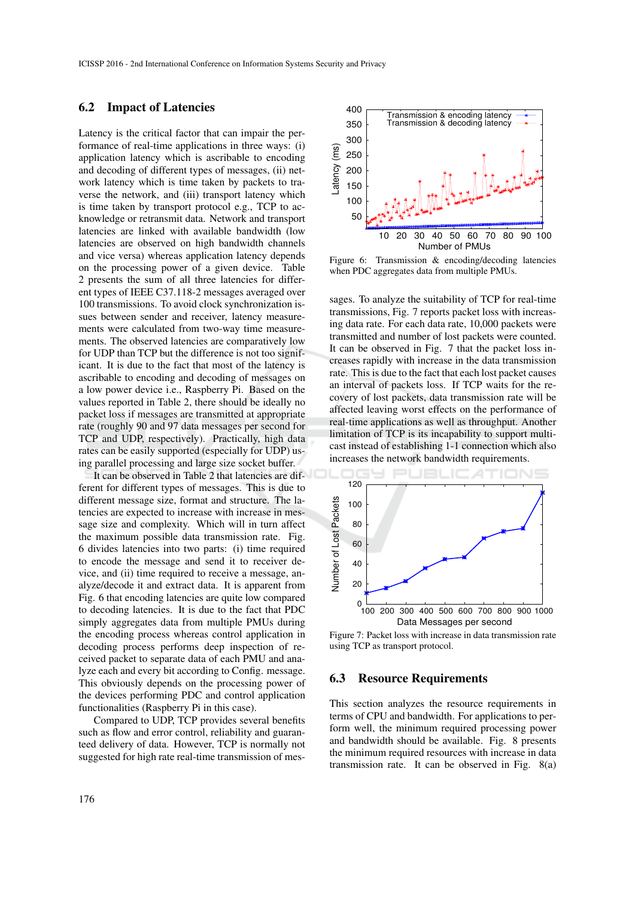## 6.2 Impact of Latencies

Latency is the critical factor that can impair the performance of real-time applications in three ways: (i) application latency which is ascribable to encoding and decoding of different types of messages, (ii) network latency which is time taken by packets to traverse the network, and (iii) transport latency which is time taken by transport protocol e.g., TCP to acknowledge or retransmit data. Network and transport latencies are linked with available bandwidth (low latencies are observed on high bandwidth channels and vice versa) whereas application latency depends on the processing power of a given device. Table 2 presents the sum of all three latencies for different types of IEEE C37.118-2 messages averaged over 100 transmissions. To avoid clock synchronization issues between sender and receiver, latency measurements were calculated from two-way time measurements. The observed latencies are comparatively low for UDP than TCP but the difference is not too significant. It is due to the fact that most of the latency is ascribable to encoding and decoding of messages on a low power device i.e., Raspberry Pi. Based on the values reported in Table 2, there should be ideally no packet loss if messages are transmitted at appropriate rate (roughly 90 and 97 data messages per second for TCP and UDP, respectively). Practically, high data rates can be easily supported (especially for UDP) using parallel processing and large size socket buffer.

It can be observed in Table 2 that latencies are different for different types of messages. This is due to different message size, format and structure. The latencies are expected to increase with increase in message size and complexity. Which will in turn affect the maximum possible data transmission rate. Fig. 6 divides latencies into two parts: (i) time required to encode the message and send it to receiver device, and (ii) time required to receive a message, analyze/decode it and extract data. It is apparent from Fig. 6 that encoding latencies are quite low compared to decoding latencies. It is due to the fact that PDC simply aggregates data from multiple PMUs during the encoding process whereas control application in decoding process performs deep inspection of received packet to separate data of each PMU and analyze each and every bit according to Config. message. This obviously depends on the processing power of the devices performing PDC and control application functionalities (Raspberry Pi in this case).

Compared to UDP, TCP provides several benefits such as flow and error control, reliability and guaranteed delivery of data. However, TCP is normally not suggested for high rate real-time transmission of mes-



Figure 6: Transmission & encoding/decoding latencies when PDC aggregates data from multiple PMUs.

sages. To analyze the suitability of TCP for real-time transmissions, Fig. 7 reports packet loss with increasing data rate. For each data rate, 10,000 packets were transmitted and number of lost packets were counted. It can be observed in Fig. 7 that the packet loss increases rapidly with increase in the data transmission rate. This is due to the fact that each lost packet causes an interval of packets loss. If TCP waits for the recovery of lost packets, data transmission rate will be affected leaving worst effects on the performance of real-time applications as well as throughput. Another limitation of TCP is its incapability to support multicast instead of establishing 1-1 connection which also increases the network bandwidth requirements.



Figure 7: Packet loss with increase in data transmission rate using TCP as transport protocol.

### 6.3 Resource Requirements

This section analyzes the resource requirements in terms of CPU and bandwidth. For applications to perform well, the minimum required processing power and bandwidth should be available. Fig. 8 presents the minimum required resources with increase in data transmission rate. It can be observed in Fig. 8(a)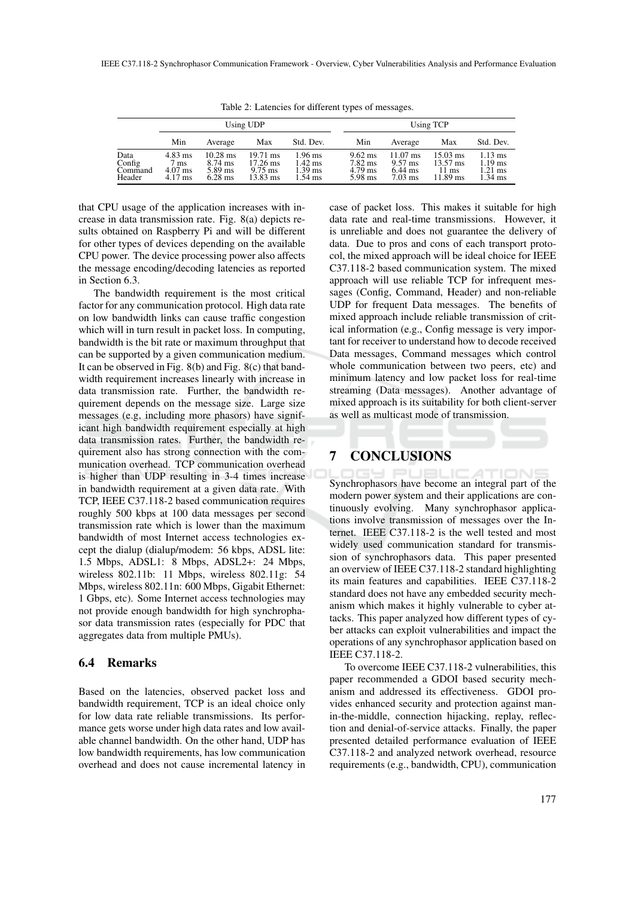|                                     | Using UDP                                 |                                                 |                                                                                     |                                                                  |                                                      | Using TCP                                                                 |                                                               |                                                          |  |
|-------------------------------------|-------------------------------------------|-------------------------------------------------|-------------------------------------------------------------------------------------|------------------------------------------------------------------|------------------------------------------------------|---------------------------------------------------------------------------|---------------------------------------------------------------|----------------------------------------------------------|--|
|                                     | Min                                       | Average                                         | Max                                                                                 | Std. Dev.                                                        | Min                                                  | Average                                                                   | Max                                                           | Std. Dev.                                                |  |
| Data<br>Config<br>Command<br>Header | $4.83$ ms<br>7 ms<br>$4.07$ ms<br>4.17 ms | $10.28$ ms<br>$8.74$ ms<br>5.89 ms<br>$6.28$ ms | $19.71 \text{ ms}$<br>$17.26 \text{ ms}$<br>$9.75 \text{ ms}$<br>$13.83 \text{ ms}$ | $1.96$ ms<br>$1.42$ ms<br>$1.39 \text{ ms}$<br>$1.54 \text{ ms}$ | $9.62 \text{ ms}$<br>7.82 ms<br>$4.79$ ms<br>5.98 ms | $11.07 \text{ ms}$<br>$9.57$ ms<br>$6.44 \text{ ms}$<br>$7.03 \text{ ms}$ | $15.03 \text{ ms}$<br>13.57 ms<br>$11 \text{ ms}$<br>11.89 ms | $1.13 \text{ ms}$<br>$1.19$ ms<br>$1.21$ ms<br>$1.34$ ms |  |

Table 2: Latencies for different types of messages.

that CPU usage of the application increases with increase in data transmission rate. Fig. 8(a) depicts results obtained on Raspberry Pi and will be different for other types of devices depending on the available CPU power. The device processing power also affects the message encoding/decoding latencies as reported in Section 6.3.

The bandwidth requirement is the most critical factor for any communication protocol. High data rate on low bandwidth links can cause traffic congestion which will in turn result in packet loss. In computing, bandwidth is the bit rate or maximum throughput that can be supported by a given communication medium. It can be observed in Fig. 8(b) and Fig. 8(c) that bandwidth requirement increases linearly with increase in data transmission rate. Further, the bandwidth requirement depends on the message size. Large size messages (e.g, including more phasors) have significant high bandwidth requirement especially at high data transmission rates. Further, the bandwidth requirement also has strong connection with the communication overhead. TCP communication overhead is higher than UDP resulting in 3-4 times increase in bandwidth requirement at a given data rate. With TCP, IEEE C37.118-2 based communication requires roughly 500 kbps at 100 data messages per second transmission rate which is lower than the maximum bandwidth of most Internet access technologies except the dialup (dialup/modem: 56 kbps, ADSL lite: 1.5 Mbps, ADSL1: 8 Mbps, ADSL2+: 24 Mbps, wireless 802.11b: 11 Mbps, wireless 802.11g: 54 Mbps, wireless 802.11n: 600 Mbps, Gigabit Ethernet: 1 Gbps, etc). Some Internet access technologies may not provide enough bandwidth for high synchrophasor data transmission rates (especially for PDC that aggregates data from multiple PMUs).

### 6.4 Remarks

Based on the latencies, observed packet loss and bandwidth requirement, TCP is an ideal choice only for low data rate reliable transmissions. Its performance gets worse under high data rates and low available channel bandwidth. On the other hand, UDP has low bandwidth requirements, has low communication overhead and does not cause incremental latency in case of packet loss. This makes it suitable for high data rate and real-time transmissions. However, it is unreliable and does not guarantee the delivery of data. Due to pros and cons of each transport protocol, the mixed approach will be ideal choice for IEEE C37.118-2 based communication system. The mixed approach will use reliable TCP for infrequent messages (Config, Command, Header) and non-reliable UDP for frequent Data messages. The benefits of mixed approach include reliable transmission of critical information (e.g., Config message is very important for receiver to understand how to decode received Data messages, Command messages which control whole communication between two peers, etc) and minimum latency and low packet loss for real-time streaming (Data messages). Another advantage of mixed approach is its suitability for both client-server as well as multicast mode of transmission.

## 7 CONCLUSIONS

Synchrophasors have become an integral part of the modern power system and their applications are continuously evolving. Many synchrophasor applications involve transmission of messages over the Internet. IEEE C37.118-2 is the well tested and most widely used communication standard for transmission of synchrophasors data. This paper presented an overview of IEEE C37.118-2 standard highlighting its main features and capabilities. IEEE C37.118-2 standard does not have any embedded security mechanism which makes it highly vulnerable to cyber attacks. This paper analyzed how different types of cyber attacks can exploit vulnerabilities and impact the operations of any synchrophasor application based on IEEE C37.118-2.

To overcome IEEE C37.118-2 vulnerabilities, this paper recommended a GDOI based security mechanism and addressed its effectiveness. GDOI provides enhanced security and protection against manin-the-middle, connection hijacking, replay, reflection and denial-of-service attacks. Finally, the paper presented detailed performance evaluation of IEEE C37.118-2 and analyzed network overhead, resource requirements (e.g., bandwidth, CPU), communication